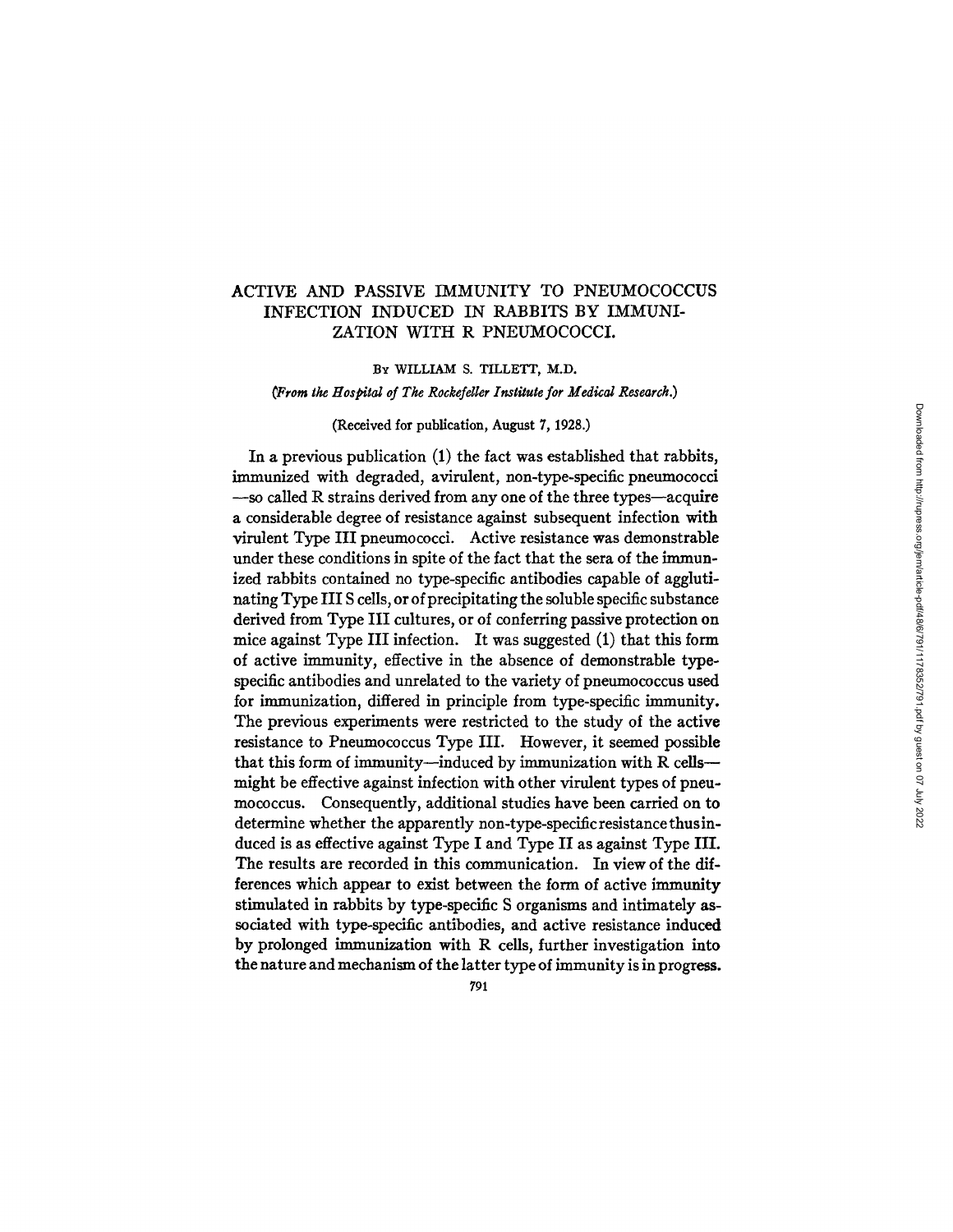# ACTIVE AND PASSIVE IMMUNITY TO PNEUMOCOCCUS INFECTION INDUCED IN RABBITS BY IMMUNI-ZATION WITH R PNEUMOCOCCI.

### BY WILLIAM S. TILLETT, M.D.

*¢Frora the Hospital of The Rockefeller Institute for Medical Research.)* 

### (Received for publication, August 7, 1928.)

In a previous publication (1) the fact was established that rabbits, immunized with degraded, avirulent, non-type-specific pneumococci  $-$ so called R strains derived from any one of the three types $-$ acquire a considerable degree of resistance against subsequent infection with virulent Type III pneumococci. Active resistance was demonstrable under these conditions in spite of the fact that the sera of the immunized rabbits contained no type-specific antibodies capable of agglutinating Type III S cells, or of precipitating the soluble specific substance derived from Type III cultures, or of conferring passive protection on mice against Type III infection. It was suggested (1) that this form of active immunity, effective in the absence of demonstrable typespecific antibodies and unrelated to the variety of pneumococcus used for immunization, differed in principle from type-specific immunity. The previous experiments were restricted to the study of the active resistance to Pneumococcus Type III. However, it seemed possible that this form of immunity--induced by immunization with R cells-might be effective against infection with other virulent types of pneumococcus. Consequently, additional studies have been carried on to determine whether the apparently non-type-specificresistancethusinduced is as effective against Type I and Type II as against Type III. The results are recorded in this communication. In view of the differences which appear to exist between the form of active immunity stimulated in rabbits by type-specific S organisms and intimately associated with type-specific antibodies, and active resistance induced by prolonged immunization with R cells, further investigation into the nature and mechanism of the latter type of immunity is in progress.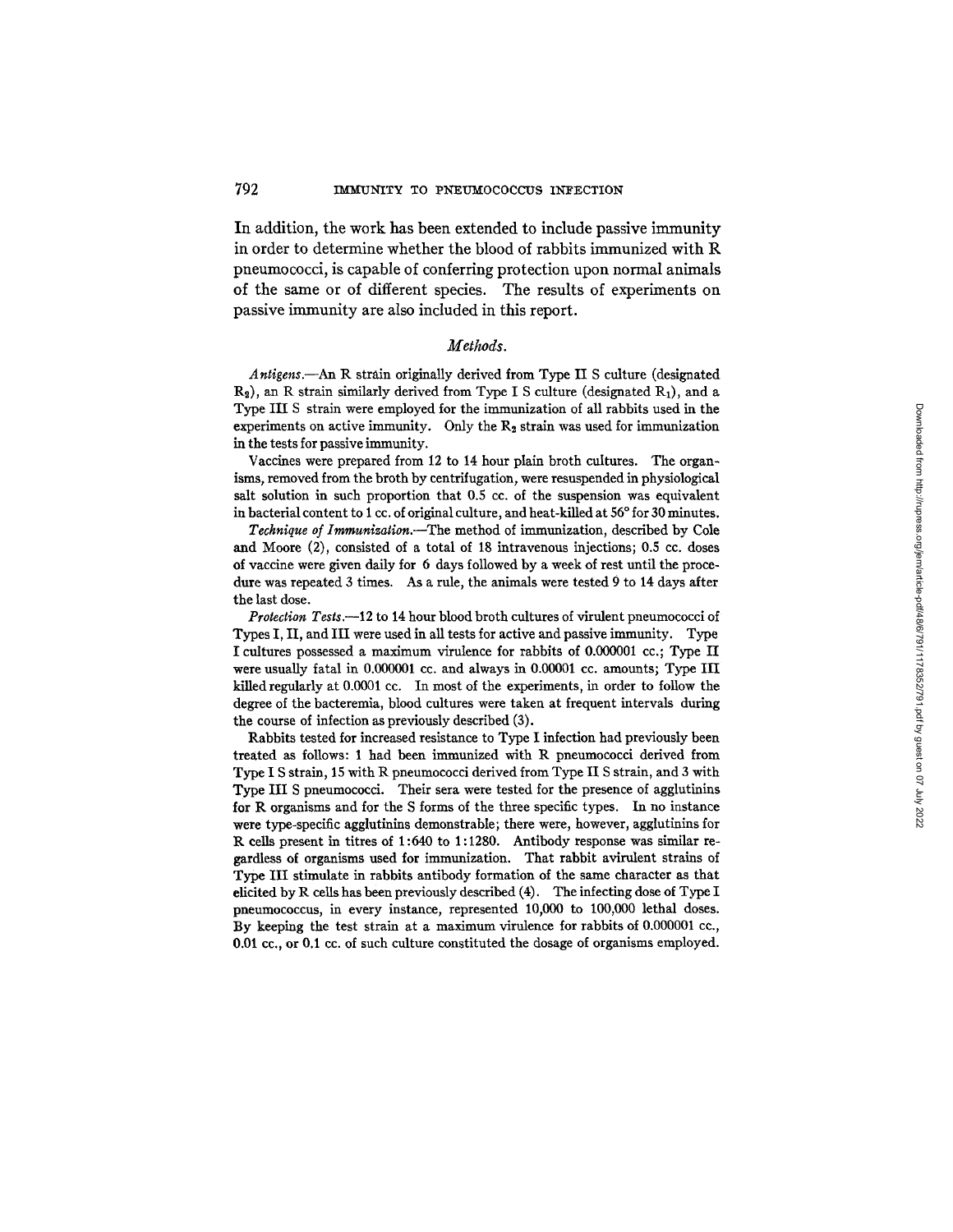In addition, the work has been extended to include passive immunity in order to determine whether the blood of rabbits immunized with R pneumococci, is capable of conferring protection upon normal animals of the same or of different species. The results of experiments on passive immunity are also included in this report.

#### *Methods.*

*Antigens.--An* R strain originally derived from Type II S culture (designated  $R_2$ ), an R strain similarly derived from Type I S culture (designated  $R_1$ ), and a Type III S strain were employed for the immunization of all rabbits used in the experiments on active immunity. Only the  $R_2$  strain was used for immunization in the tests for passive immunity.

Vaccines were prepared from 12 to 14 hour plain broth cultures. The organisms, removed from the broth by centrifugation, were resuspended in physiological salt solution in such proportion that 0.5 cc. of the suspension was equivalent in bacterial content to 1 cc. of original culture, and heat-killed at 56° for 30 minutes.

*Technique of Immunization.--The* method of immunization, described by Cole and Moore (2), consisted of a total of 18 intravenous injections; 0.5 cc. doses of vaccine were given daily for 6 days followed by a week of rest until the procedure was repeated 3 times. As a rule, the animals were tested 9 to 14 days after the last dose.

*Protection Tests.--12* to 14 hour blood broth cultures of virulent pneumococci of Types I, II, and III were used in all tests for active and passive immunity. Type I cultures possessed a maximum virulence for rabbits of 0.000001 cc.; Type II were usually fatal in 0.000001 cc. and always in 0.00001 cc. amounts; Type III killed regularly at 0.0001 cc. In most of the experiments, in order to follow the degree of the baeteremia, blood cultures were taken at frequent intervals during the course of infection as previously described (3).

Rabbits tested for increased resistance to Type I infection had previously been treated as follows: 1 had been immunized with R pneumococci derived from Type I S strain, 15 with R pneumococci derived from Type II S strain, and 3 with Type III S pneumococci. Their sera were tested for the presence of agglutinins for R organisms and for the S forms of the three specific types. In no instance were type-specific agglutinins demonstrable; there were, however, agglutinins for R cells present in titres of 1:640 to 1:1280. Antibody response was similar regardless of organisms used for immunization. That rabbit avirulent strains of Type III stimulate in rabbits antibody formation of the same character as that elicited by R ceils has been previously described (4). The infecting dose of Type I pneumococcus, in every instance, represented 10,000 to 100,000 lethal doses. By keeping the test strain at a maximum virulence for rabbits of 0.000001 cc., 0.01 cc., or 0.1 ec. of such culture constituted the dosage of organisms employed.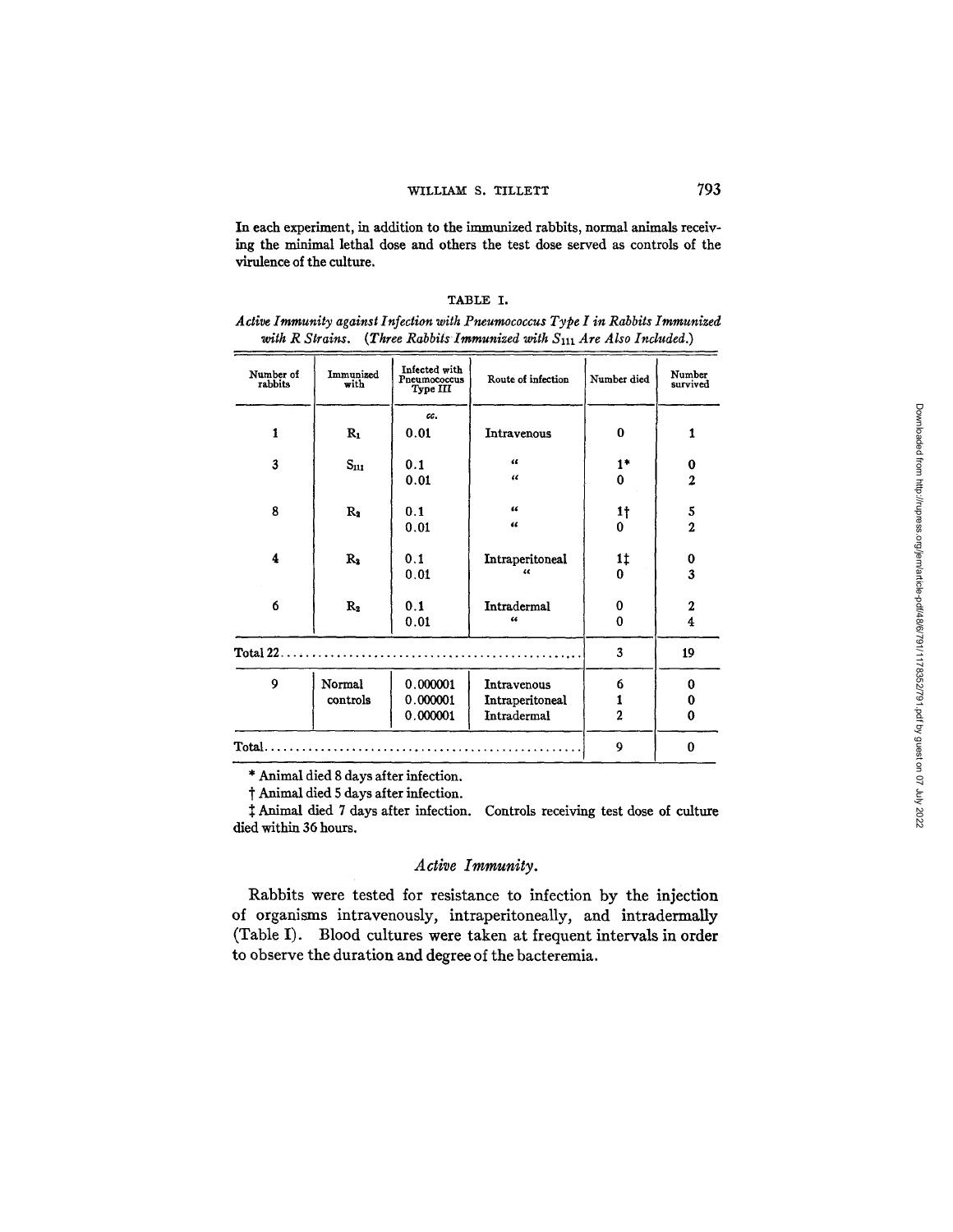In each experiment, in addition to the immunized rabbits, normal animals receiving the minimal lethal dose and others the test dose served as controls of the virulence of the culture.

|--|

*Adive Immunity against Infection witk Pneumococcus Type I in Rabbits Immunized*  with R Strains. (Three Rabbits Immunized with S<sub>111</sub> Are Also Included.)

| Number of<br>rabbits | Immunized<br>with | Infected with<br>Pneumococcus<br>Type III | Route of infection | Number died      | Number<br>survived      |
|----------------------|-------------------|-------------------------------------------|--------------------|------------------|-------------------------|
|                      |                   | cc.                                       |                    |                  |                         |
| $\mathbf{1}$         | $R_1$             | 0.01                                      | Intravenous        | $\bf{0}$         | 1                       |
| 3                    | $S_{111}$         | 0.1                                       | $\alpha$           | $1*$             | 0                       |
|                      |                   | 0.01                                      | $\epsilon$         | $\bf{0}$         | $\overline{c}$          |
| 8                    | $R_1$             | 0.1                                       | $\epsilon$         | 1 <sub>1</sub>   | 5                       |
|                      |                   | 0.01                                      | $\epsilon$         | 0                | $\overline{2}$          |
| 4                    | R <sub>2</sub>    | 0.1                                       | Intraperitoneal    | 1‡               | 0                       |
|                      |                   | 0.01                                      | 44                 | 0                | 3                       |
| 6                    | $R_{2}$           | 0.1                                       | Intradermal        | $\bf{0}$         | $\mathbf 2$             |
|                      |                   | 0.01                                      | $\epsilon$         | $\boldsymbol{0}$ | $\overline{\mathbf{4}}$ |
| Total 22             |                   |                                           |                    | 3                | 19                      |
| $\boldsymbol{9}$     | Normal            | 0.000001                                  | Intravenous        | 6                | 0                       |
|                      | controls          | 0.000001                                  | Intraperitoneal    | 1                | 0                       |
|                      |                   | 0.000001                                  | Intradermal        | $\overline{2}$   | 0                       |
| Total.               |                   |                                           |                    | 9                | $\bf{0}$                |

\* Animal died 8 days after infection.

'f Animal died 5 days after infection.

Animal died 7 days after infection. Controls receiving test dose of culture died within 36 hours.

## *Active Immunity.*

Rabbits were tested for resistance to infection by the injection of organisms intravenously, intraperitoneally, and intradermally (Table I). Blood cultures were taken at frequent intervals in order to observe the duration and degree of the bacteremia.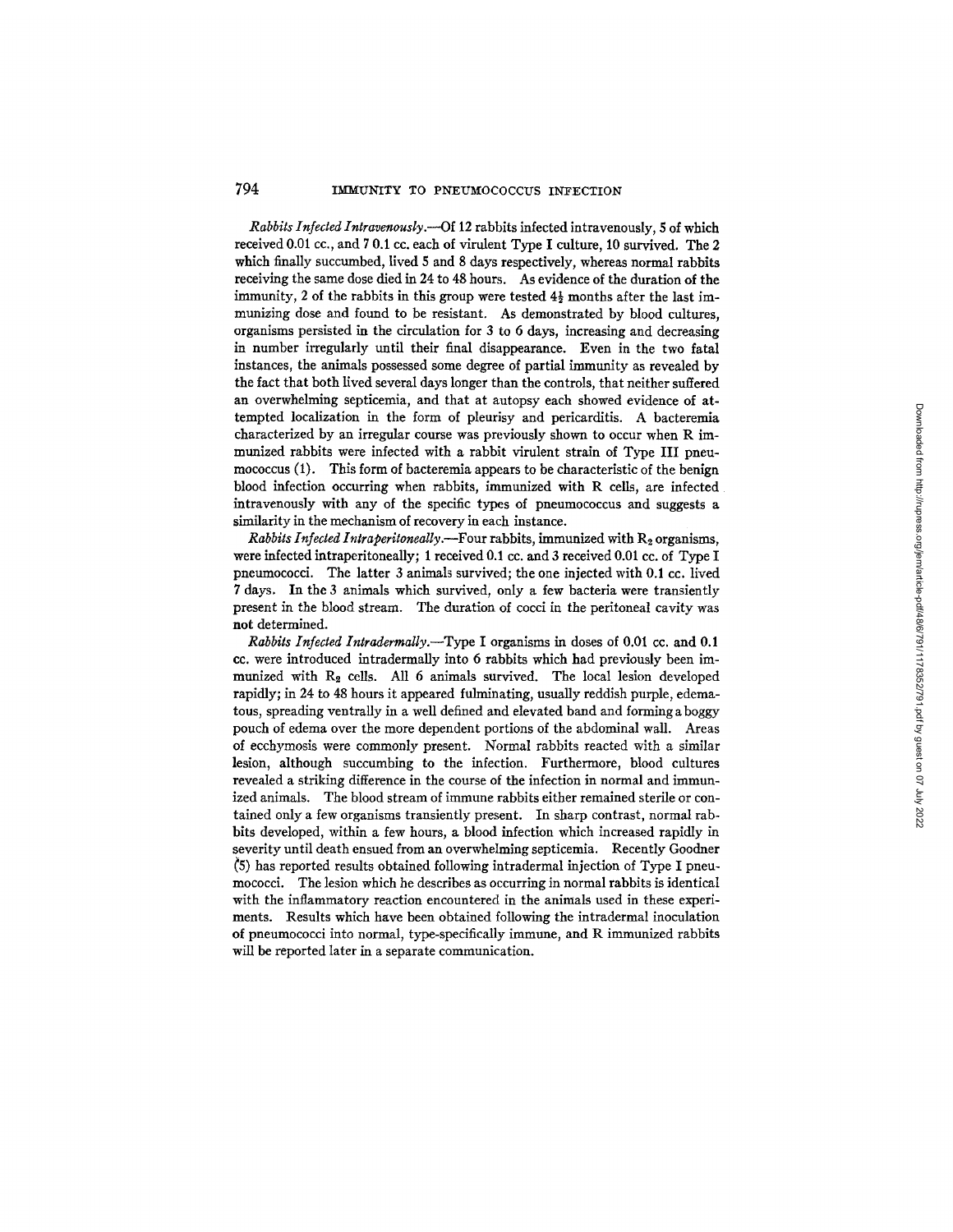*Rabbits Infected Intravenously.---Of* 12 rabbits infected intravenously, 5 of which received 0.01 cc., and 7 0.1 cc. each of virulent Type I culture, 10 survived. The 2 which finally succumbed, lived 5 and 8 days respectively, whereas normal rabbits receiving the same dose died in 24 to 48 hours. As evidence of the duration of the immunity, 2 of the rabbits in this group were tested  $4\frac{1}{2}$  months after the last immunizing dose and found to be resistant. As demonstrated by blood cultures, organisms persisted in the circulation for 3 to 6 days, increasing and decreasing in number irregularly until their final disappearance. Even in the two fatal instances, the animals possessed some degree of partial immunity as revealed by the fact that both lived several days longer than the controls, that neither suffered an overwhelming septicemia, and that at autopsy each showed evidence of attempted localization in the form of pleurisy and pericarditis. A bacteremia characterized by an irregular course was previously shown to occur when R immunized rabbits were infected with a rabbit virulent strain of Type III pneumococcus (1). This form of bacteremia appears to be characteristic of the benign blood infection occurring when rabbits, immunized with R cells, are infected intravenously with any of the specific types of pneumococcus and suggests a similarity in the mechanism of recovery in each instance.

*Rabbits Infected Intraperitoneally.*—Four rabbits, immunized with  $R_2$  organisms, were infected intraperitoneally; 1 received 0.1 cc. and 3 received 0.01 cc. of Type I pneumococci. The latter 3 animals survived; the one injected with 0.1 cc. lived 7 days. In the 3 animals which survived, only a few bacteria were transiently present in the blood stream. The duration of cocci in the peritoneal cavity was not determined.

*Rabbits Infected Intradermally.--Type* I organisms in doses of 0.01 cc. and 0.1 cc. were introduced intradermally into 6 rabbits which had previously been immunized with  $R_2$  cells. All 6 animals survived. The local lesion developed rapidly; in 24 to 48 hours it appeared fulminating, usually reddish purple, edematous, spreading ventrally in a well defined and elevated baud and forming a boggy pouch of edema over the more dependent portions of the abdominal wall. Areas of ecchymosis were commonly present. Normal rabbits reacted with a similar lesion, although succumbing to the infection. Furthermore, blood cultures revealed a striking difference in the course of the infection in normal and immunized animals. The blood stream of immune rabbits either remained sterile or contained only a few organisms transiently present. In sharp contrast, normal rabbits developed, within a few hours, a blood infection which increased rapidly in severity until death ensued from an overwhelming septicemia. Recently Goodner ~5) has reported results obtained following intradermal injection of Type I pneumococci. The lesion which he describes as occurring in normal rabbits is identical with the inflammatory reaction encountered in the animals used in these experiments. Results which have been obtained following the intradermal inoculation of pneumococci into normal, type-specifically immune, and R immunized rabbits will be reported later in a separate communication.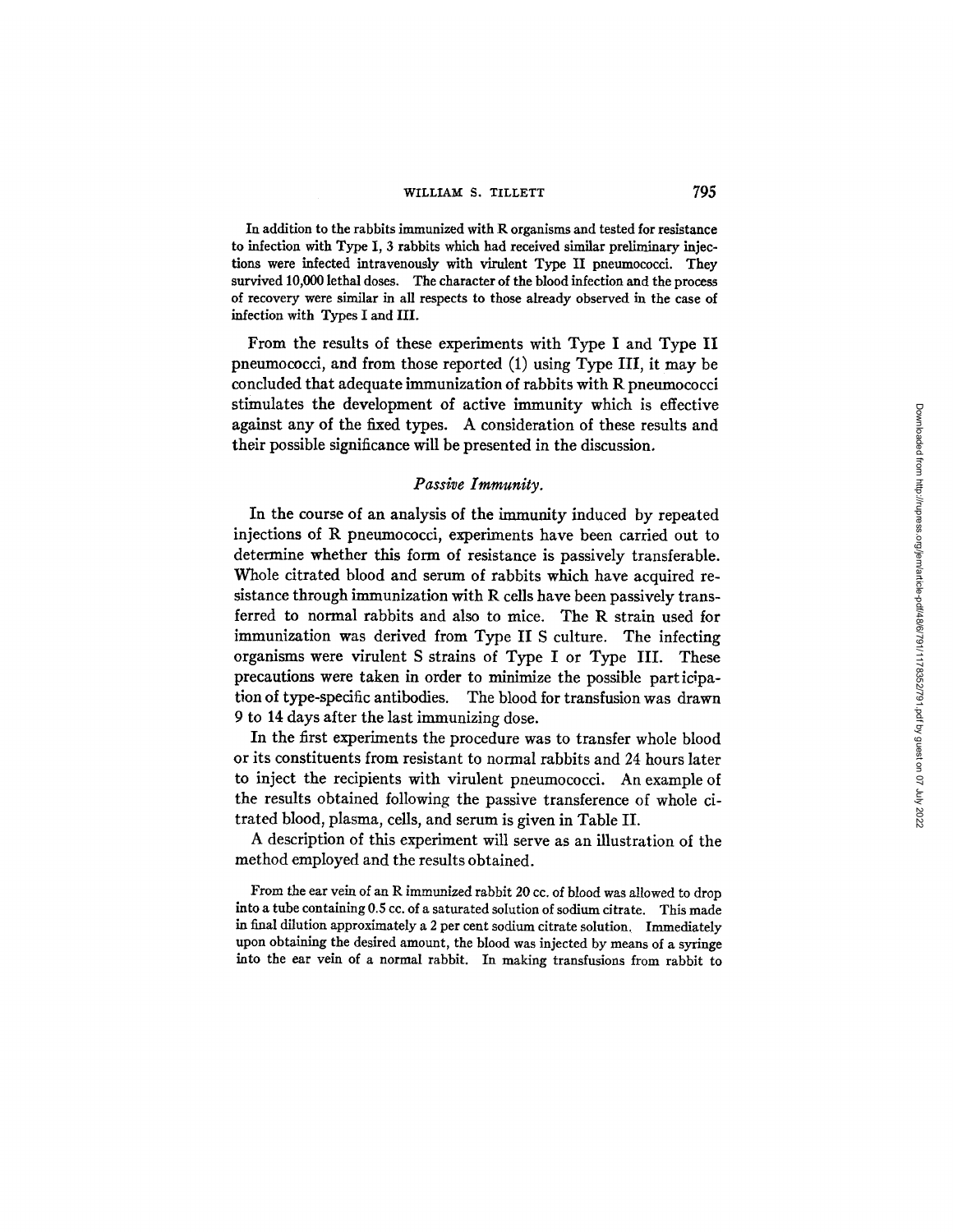In addition to the rabbits immunized with R organisms and tested for resistance to infection with Type I, 3 rabbits which had received similar preliminary injections were infected intravenously with virulent Type II pneumococci. They survived 10,000 lethal doses. The character of the blood infection and the process of recovery were similar in all respects to those already observed in the case of infection with Types I and III.

From the results of these experiments with Type I and Type II pneumococci, and from those reported (1) using Type III, it may be concluded that adequate immunization of rabbits with R pneumococci stimulates the development of active immunity which is effective against any of the fixed types. A consideration of these results and their possible significance will be presented in the discussion.

### *Passive Immunity.*

In the course of an analysis of the immunity induced by repeated injections of R pneumococci, experiments have been carried out to determine whether this form of resistance is passively transferable. Whole citrated blood and serum of rabbits which have acquired resistance through immunization with R cells have been passively transferred to normal rabbits and also to mice. The R strain used for immunization was derived from Type II S culture. The infecting organisms were virulent S strains of Type I or Type III. These precautions were taken in order to minimize the possible participation of type-specific antibodies. The blood for transfusion was drawn 9 to 14 days after the last immunizing dose.

In the first experiments the procedure was to transfer whole blood or its constituents from resistant to normal rabbits and 24 hours later to inject the recipients with virulent pneumococci. An example of the results obtained following the passive transference of whole citrated blood, plasma, cells, and serum is given in Table II.

A description of this experiment will serve as an illustration of the method employed and the results obtained.

From the ear vein of an R immunized rabbit 20 cc. of blood was allowed to drop into a tube containing 0.5 cc. of a saturated solution of sodium citrate. This made in final dilution approximately a 2 per cent sodium citrate solution, Immediately upon obtaining the desired amount, the blood was injected by means of a syringe into the ear vein of a normal rabbit. In making transfusions from rabbit to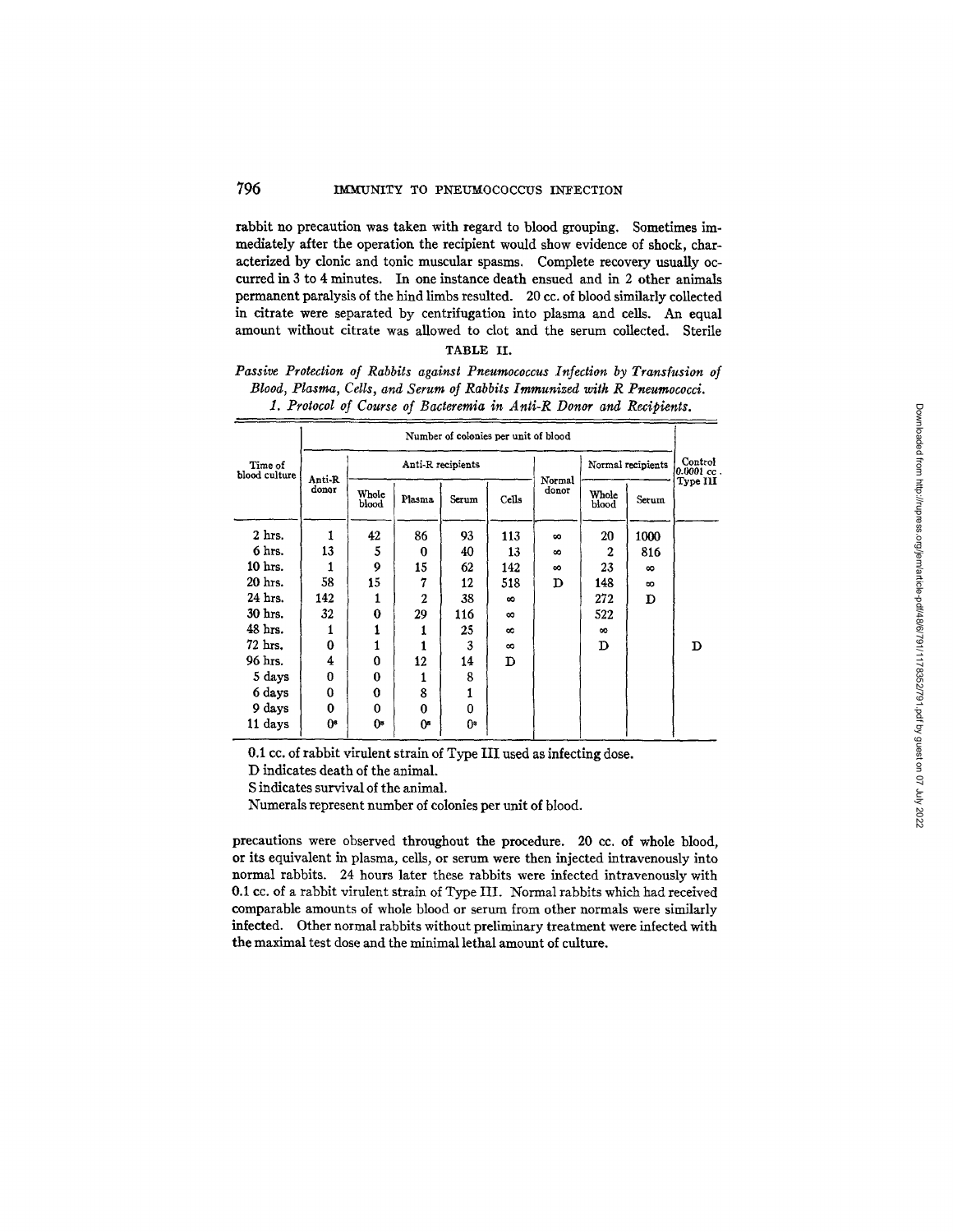rabbit no precaution was taken with regard to blood grouping. Sometimes immediately after the operation the recipient would show evidence of shock, characterized by clonic and tonic muscular spasms. Complete recovery usually occurred in 3 to 4 minutes. In one instance death ensued and in 2 other animals permanent paralysis of the hind limbs resulted. 20 cc. of blood similarly collected in citrate were separated by centrifugation into plasma and cells. An equal amount without citrate was allowed to clot and the serum collected. Sterile

## TABLE II.

### *Passive Protection of Rabbits against Pneumococcus Infection by Transfusion of Blood, Plasma, Cells, and Serum of Rabbits Immunized with R Pneumococci. 1. Protocol of Course of Bacteremia in Anli-R Donor and Recipients.*

|                          | Number of colonies per unit of blood |                   |                |       |          |                   |                |                         |          |
|--------------------------|--------------------------------------|-------------------|----------------|-------|----------|-------------------|----------------|-------------------------|----------|
| Time of<br>blood culture | Anti-R<br>donor                      | Anti-R recipients |                |       |          | Normal recipients |                | Control<br>$0.0001$ cc. |          |
|                          |                                      | Whole<br>blood    | Plasma         | Serum | Cells    | Normal<br>donor   | Whole<br>blood | Serum                   | Type III |
| 2 hrs.                   | 1                                    | 42                | 86             | 93    | 113      | $\infty$          | 20             | 1000                    |          |
| 6 hrs.                   | 13                                   | 5                 | 0              | 40    | 13       | $\infty$          | $\mathbf{2}$   | 816                     |          |
| 10 hrs.                  |                                      | 9                 | 15             | 62    | 142      | $\infty$          | 23             | $\infty$                |          |
| 20 hrs.                  | 58                                   | 15                | 7              | 12    | 518      | D                 | 148            | $\infty$                |          |
| 24 hrs.                  | 142                                  | 1                 | $\overline{2}$ | 38    | $\infty$ |                   | 272            | D                       |          |
| 30 hrs.                  | 32                                   | 0                 | 29             | 116   | $\infty$ |                   | 522            |                         |          |
| 48 hrs.                  | 1                                    | 1                 |                | 25    | $\infty$ |                   | $\infty$       |                         |          |
| 72 hrs.                  | 0                                    | 1                 |                | 3     | $\infty$ |                   | D              |                         | D        |
| 96 hrs.                  | 4                                    | 0                 | 12             | 14    | D        |                   |                |                         |          |
| 5 days                   | 0                                    | 0                 | 1              | 8     |          |                   |                |                         |          |
| 6 days                   | 0                                    | $\bf{0}$          | 8              | 1     |          |                   |                |                         |          |
| 9 days                   | 0                                    | 0                 | 0              | 0     |          |                   |                |                         |          |
| 11 days                  | Os.                                  | 0*                | 0з             | 0.    |          |                   |                |                         |          |

0.1 cc. of rabbit virulent strain of Type III used as infecting dose.

D indicates death of the animal.

S indicates survival of the animal.

Numerals represent number of colonies per unit of blood.

precautions were observed throughout the procedure. 20 cc. of whole blood, or its equivalent in plasma, cells, or serum were then injected intravenously into normal rabbits. 24 hours later these rabbits were infected intravenously with 0.1 cc. of a rabbit virulent strain of Type III. Normal rabbits which had received comparable amounts of whole blood or serum from other normals were similarly infected. Other normal rabbits without preliminary treatment were infected with the maximal test dose and the minimal lethal amount of culture.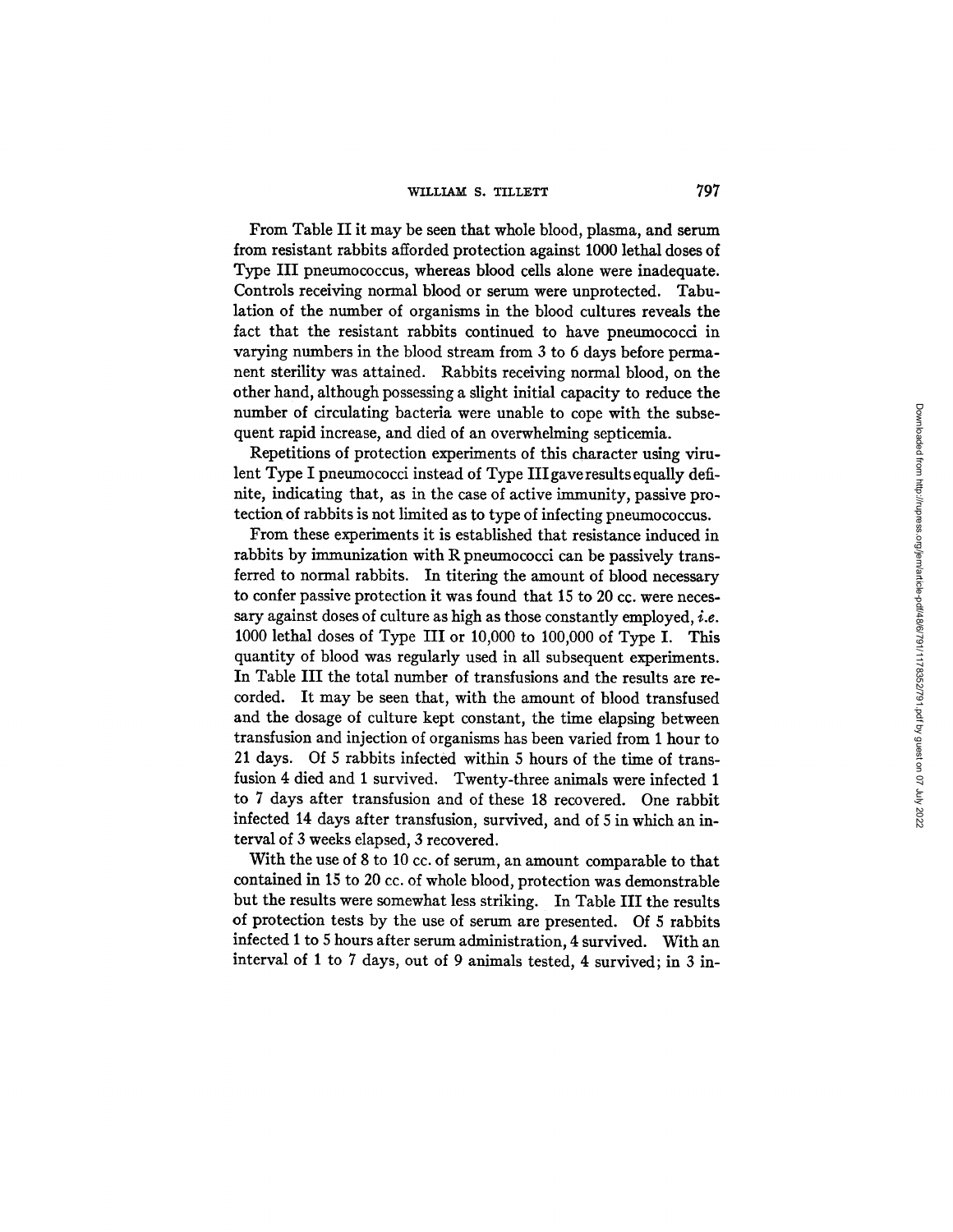## WILLIAM S. TILLETT 797

From Table II it may be seen that whole blood, plasma, and serum from resistant rabbits afforded protection against 1000 lethal doses of Type III pneumococcus, whereas blood cells alone were inadequate. Controls receiving normal blood or serum were unprotected. Tabulation of the number of organisms in the blood cultures reveals the fact that the resistant rabbits continued to have pneumococci in varying numbers in the blood stream from 3 to 6 days before permanent sterility was attained. Rabbits receiving normal blood, on the other hand, although possessing a slight initial capacity to reduce the number of circulating bacteria were unable to cope with the subsequent rapid increase, and died of an overwhelming septicemia.

Repetitions of protection experiments of this character using vimlent Type I pneumococci instead of Type III gave results equally deftnite, indicating that, as in the case of active immunity, passive protection of rabbits is not limited as to type of infecting pneumococcus.

From these experiments it is established that resistance induced in rabbits by immunization with R pneumococci can be passively transferred to normal rabbits. In titering the amount of blood necessary to confer passive protection it was found that 15 to 20 cc. were necessary against doses of culture as high as those constantly employed, i.e. 1000 lethal doses of Type III or 10,000 to 100,000 of Type I. This quantity of blood was regularly used in all subsequent experiments. In Table III the total number of transfusions and the results are recorded. It may be seen that, with the amount of blood transfused and the dosage of culture kept constant, the time elapsing between transfusion and injection of organisms has been varied from 1 hour to 21 days. Of 5 rabbits infected within 5 hours of the time of transfusion 4 died and 1 survived. Twenty-three animals were infected 1 to 7 days after transfusion and of these 18 recovered. One rabbit infected 14 days after transfusion, survived, and of 5 in which an interval of 3 weeks elapsed, 3 recovered.

With the use of 8 to 10 cc. of serum, an amount comparable to that contained in 15 to 20 cc. of whole blood, protection was demonstrable but the results were somewhat less striking. In Table III the results of protection tests by the use of serum are presented. Of 5 rabbits infected 1 to 5 hours after serum administration, 4 survived. With an interval of I to 7 days, out of 9 animals tested, 4 survived; in 3 in-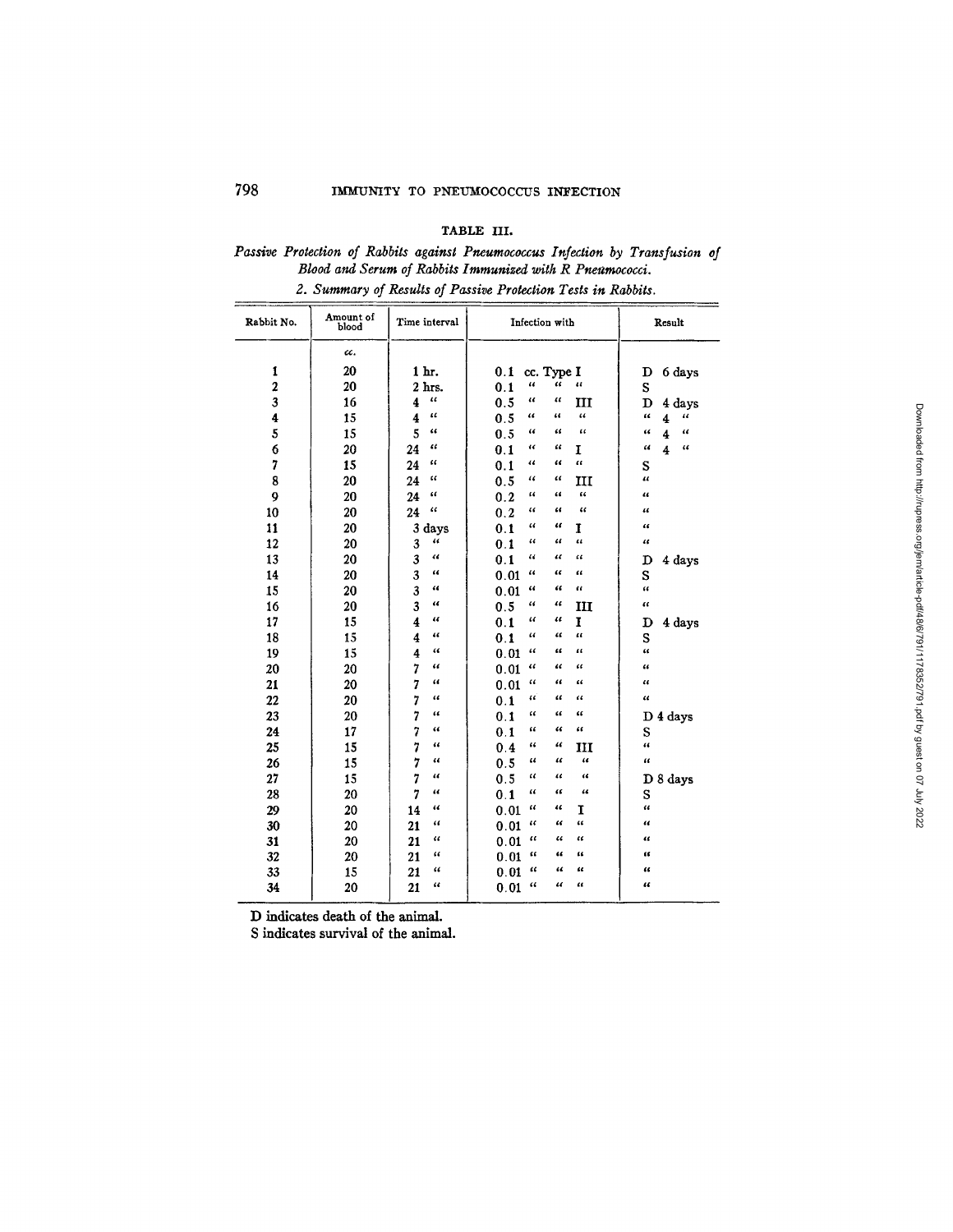## TABLe. III.

# *Passive Protection of Rabbits against Pneumococcus Infection by Transfusion o/ Blood and Serum of Rabbits Immunized with R Pneumococci. 2. Summary of Results of Passive Protection Tests in Rabbits.*

| Rabbit No.              | Amount of<br>blood | Time interval                                 | Infection with                                        | Result                                                |
|-------------------------|--------------------|-----------------------------------------------|-------------------------------------------------------|-------------------------------------------------------|
|                         | cc.                |                                               |                                                       |                                                       |
| $\mathbf{1}$            | 20                 | 1 hr.                                         | 0.1<br>cc. Type I                                     | 6 days<br>D                                           |
| $\boldsymbol{2}$        | 20                 | 2 hrs.                                        | 46<br>4<br>16<br>0.1                                  | S                                                     |
| 3                       | 16                 | $\pmb{\epsilon}$<br>$\overline{\mathbf{4}}$   | u<br>$\epsilon$<br>0.5<br>ш                           | D<br>4 days                                           |
| $\overline{\mathbf{4}}$ | 15                 | u<br>$\overline{\mathbf{4}}$                  | u<br>"<br>$\ddot{\phantom{0}}$<br>0.5                 | $\epsilon$<br>$\iota\iota$<br>$\overline{\mathbf{4}}$ |
| 5                       | 15                 | 5<br>46                                       | $\epsilon$<br>0.5<br>u<br>"                           | $\epsilon$<br>$\epsilon$<br>$\overline{\mathbf{4}}$   |
| $\ddot{\mathbf{6}}$     | 20                 | "<br>24                                       | €€<br>44<br>0.1<br>I                                  | $\pmb{\mathcal{U}}$<br>$\epsilon$<br>4                |
| 7                       | 15                 | 66<br>24                                      | $\epsilon$<br>έć<br>11<br>0.1                         | S                                                     |
| 8                       | 20                 | α<br>24                                       | 44<br>"<br>0.5<br>ш                                   | $\overline{a}$                                        |
| 9                       | 20                 | "<br>24                                       | $\epsilon$<br>44<br>0.2<br>"                          | 4                                                     |
| 10                      | 20                 | $\epsilon$<br>24                              | $\epsilon$<br>44<br>"<br>0.2                          | $\overline{\mathbf{u}}$                               |
| 11                      | 20                 | 3 days                                        | $\epsilon$<br>α<br>0.1<br>1                           | $\epsilon$                                            |
| 12                      | 20                 | 44<br>3                                       | $\pmb{\epsilon}$<br>"<br>"<br>0.1                     | $\mathfrak{c}$                                        |
| 13                      | 20                 | 3<br>44                                       | 44<br>u<br>"<br>0.1                                   | 4 days<br>D                                           |
| 14                      | 20                 | и                                             | $\epsilon$<br>66<br>44<br>0.01                        | S                                                     |
| 15                      | 20                 | $\frac{3}{3}$<br>$\epsilon$                   | $\epsilon$<br>$\mathbf{G}$<br>$\epsilon$<br>0.01      | t t                                                   |
| 16                      | 20                 | $\overline{\mathbf{3}}$<br>44                 | 0.5<br>66<br>46<br>Ш                                  | $\alpha$                                              |
| 17                      | 15                 | $\overline{\mathbf{4}}$<br>$\epsilon\epsilon$ | 11<br>11<br>I<br>0.1                                  | 4 days<br>D                                           |
| 18                      | 15                 | $\overline{4}$<br>$\pmb{\mathcal{U}}$         | $\epsilon\epsilon$<br>$\epsilon$<br>$\epsilon$<br>0.1 | S                                                     |
| 19                      | 15                 | $\overline{\mathbf{4}}$<br>$\epsilon\epsilon$ | 11<br>u<br>$\mathbf{u}$<br>0.01                       | $\alpha$                                              |
| 20                      | 20                 | $\overline{7}$<br>$\epsilon$                  | 11<br>66<br>$\epsilon$<br>0.01                        | $\mathbf{u}$                                          |
| 21                      | 20                 | $\overline{7}$<br>$\epsilon$                  | "<br>"<br>$\epsilon$<br>0.01                          | $\epsilon$                                            |
| 22                      | 20                 | 7<br>$\epsilon$                               | u<br>$\epsilon$<br>64<br>0.1                          | $\epsilon$                                            |
| 23                      | 20                 | 7<br>66                                       | "<br>66<br>"<br>0.1                                   | D 4 days                                              |
| 24                      | 17                 | 7<br>$\epsilon$                               | 44<br>$\mathcal{U}$<br>"<br>0.1                       | S                                                     |
| 25                      | 15                 | 7<br>44                                       | "<br>66<br>0.4<br>ш                                   | $\mathbf{a}$                                          |
| 26                      | 15                 | 7<br>44                                       | $\mathfrak{c}$<br>66<br>$\epsilon$<br>0.5             | $\epsilon$                                            |
| 27                      | 15                 | 16                                            | 66<br>0.5<br>и<br>44                                  | D 8 days                                              |
| 28                      | 20                 | 7<br>44                                       | 16<br>$\epsilon$<br>0.1<br>"                          | S                                                     |
| 29                      | 20                 | $\epsilon$<br>14                              | 66<br>14<br>T<br>0.01                                 | $\epsilon$                                            |
| 30                      | 20                 | 46<br>21                                      | $\epsilon$<br>$\epsilon$<br>"<br>0.01                 | $\epsilon$                                            |
| 31                      | 20                 | ٤¢<br>21                                      | $\epsilon$<br>$\epsilon$<br>44<br>0.01                | ££                                                    |
| 32                      | 20                 | $\epsilon$<br>21                              | $\mathbf{G}$<br>$\epsilon$<br>44<br>0.01              | tť.                                                   |
| 33                      | 15                 | œ<br>21                                       | $\epsilon$<br>ш<br>u<br>0.01                          | ££                                                    |
| 34                      | 20                 | 4<br>21                                       | $\overline{a}$<br>44<br>££<br>0.01                    | œ                                                     |

D indicates death of the animal.

S indicates survival of the animal.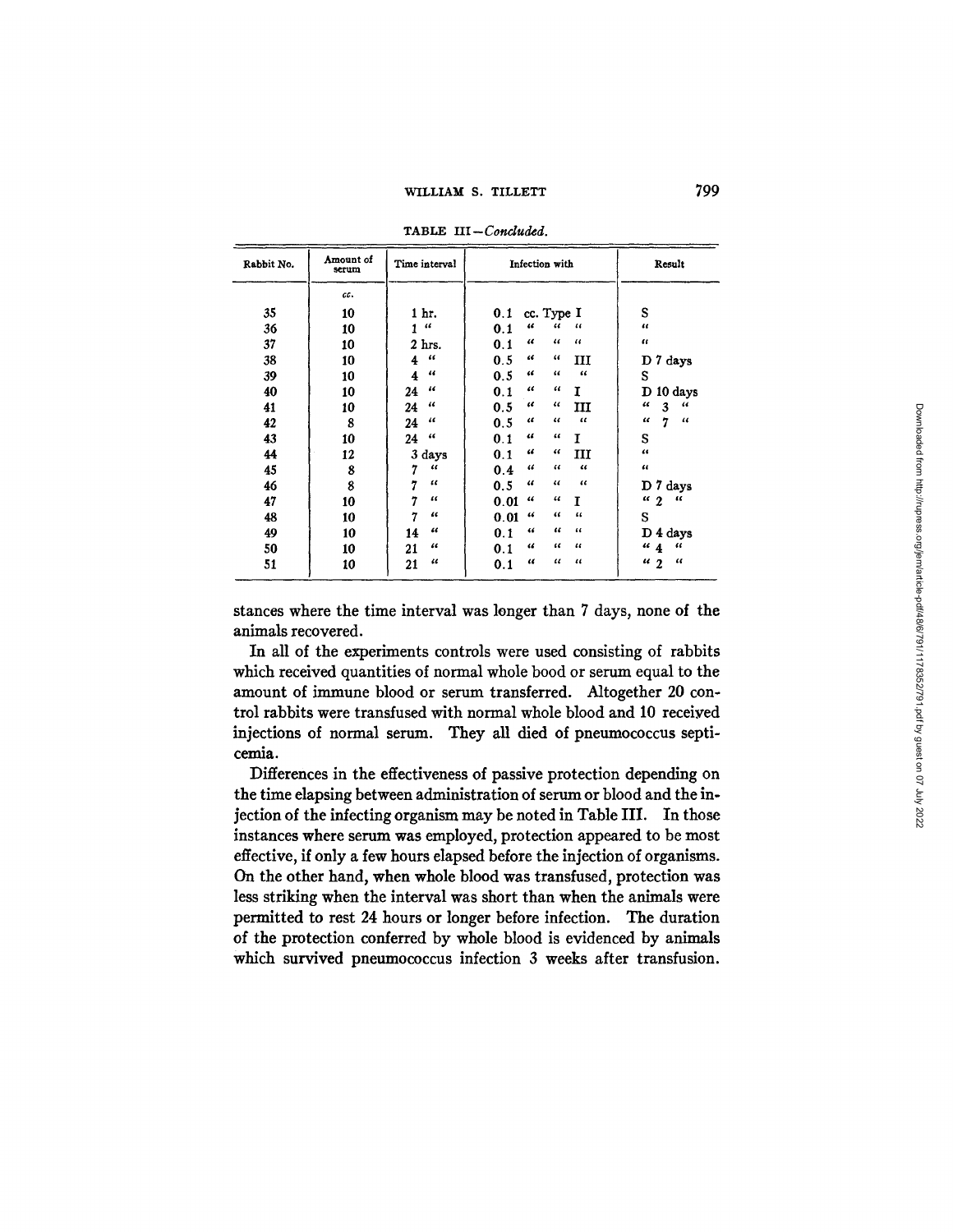799

| Rabbit No. | Amount of<br>serum | Time interval                 | Infection with                                        | Result                        |
|------------|--------------------|-------------------------------|-------------------------------------------------------|-------------------------------|
|            | cc.                |                               |                                                       |                               |
| 35         | 10                 | 1 hr.                         | cc. Type I<br>0.1                                     | S                             |
| 36         | 10                 | $\epsilon\epsilon$<br>1       | $\epsilon$<br>$\epsilon$<br>$\epsilon$<br>0.1         | $\epsilon$                    |
| 37         | 10                 | 2 <sub>hrs.</sub>             | $\epsilon\epsilon$<br>$\epsilon$<br>$\epsilon$<br>0.1 | $\epsilon$                    |
| 38         | 10                 | $\epsilon$<br>4               | $\epsilon$<br>"<br>0.5<br>ш                           | D 7 days                      |
| 39         | 10                 | $\epsilon$<br>4               | 66<br>46<br>$\epsilon$<br>0.5                         | S                             |
| 40         | 10                 | $^{16}$<br>24                 | "<br>"<br>0.1<br>1                                    | D<br>10 days                  |
| 41         | 10                 | 46<br>24                      | "<br>$\epsilon$<br>0.5<br>ш                           | 66<br>$\epsilon$<br>3         |
| 42         | 8                  | 46<br>24                      | $\epsilon$<br>$\epsilon$<br>$\epsilon$<br>0.5         | 7<br>$\epsilon$<br>$\epsilon$ |
| 43         | 10                 | 44<br>24                      | 44<br>44<br>T<br>0.1                                  | S                             |
| 44         | 12                 | 3 days                        | 66<br>$\epsilon\epsilon$<br>ш<br>0.1                  | 44                            |
| 45         | 8                  | $\mathcal{U}$<br>7            | $\epsilon$<br>44<br>46<br>0.4                         | 44                            |
| 46         | 8                  | 7<br>$\iota$                  | $\epsilon$<br>"<br>$\epsilon$<br>0.5                  | 7 days<br>D                   |
| 47         | 10                 | 7<br>"                        | 44<br>"<br>0.01<br>T                                  | $\epsilon$<br>$\frac{1}{2}$   |
| 48         | 10                 | $\overline{\mathbf{a}}$       | $\epsilon$<br>46<br>"<br>0.01                         | S                             |
| 49         | 10                 | $\overline{\mathbf{a}}$<br>14 | "<br>$\epsilon$<br>46<br>0.1                          | D 4 days                      |
| 50         | 10                 | 66<br>21                      | $\epsilon$<br>$\epsilon$<br>"<br>0.1                  | ``4<br>46                     |
| 51         | 10                 | 11<br>21                      | $\epsilon$<br>$^{16}$<br>$\epsilon$<br>0.1            | $\epsilon$<br>$\frac{1}{2}$   |

TABLE III-Concluded.

stances where the time interval was longer than 7 days, none of the animals recovered.

In all of the experiments controls were used consisting of rabbits which received quantities of normal whole bood or serum equal to the amount of immune blood or serum transferred. Altogether 20 control rabbits were transfused with normal whole blood and 10 received injections of normal serum. They all died of pneumococcus septicemia.

Differences in the effectiveness of passive protection depending on the time elapsing between administration of serum or blood and the injection of the infecting organism may be noted in Table III. In those instances where serum was employed, protection appeared to be most effective, if only a few hours elapsed before the injection of organisms. On the other hand, when whole blood was transfused, protection was less striking when the interval was short than when the animals were permitted to rest 24 hours or longer before infection. The duration of the protection conferred by whole blood is evidenced by animals which survived pneumococcus infection 3 weeks after transfusion.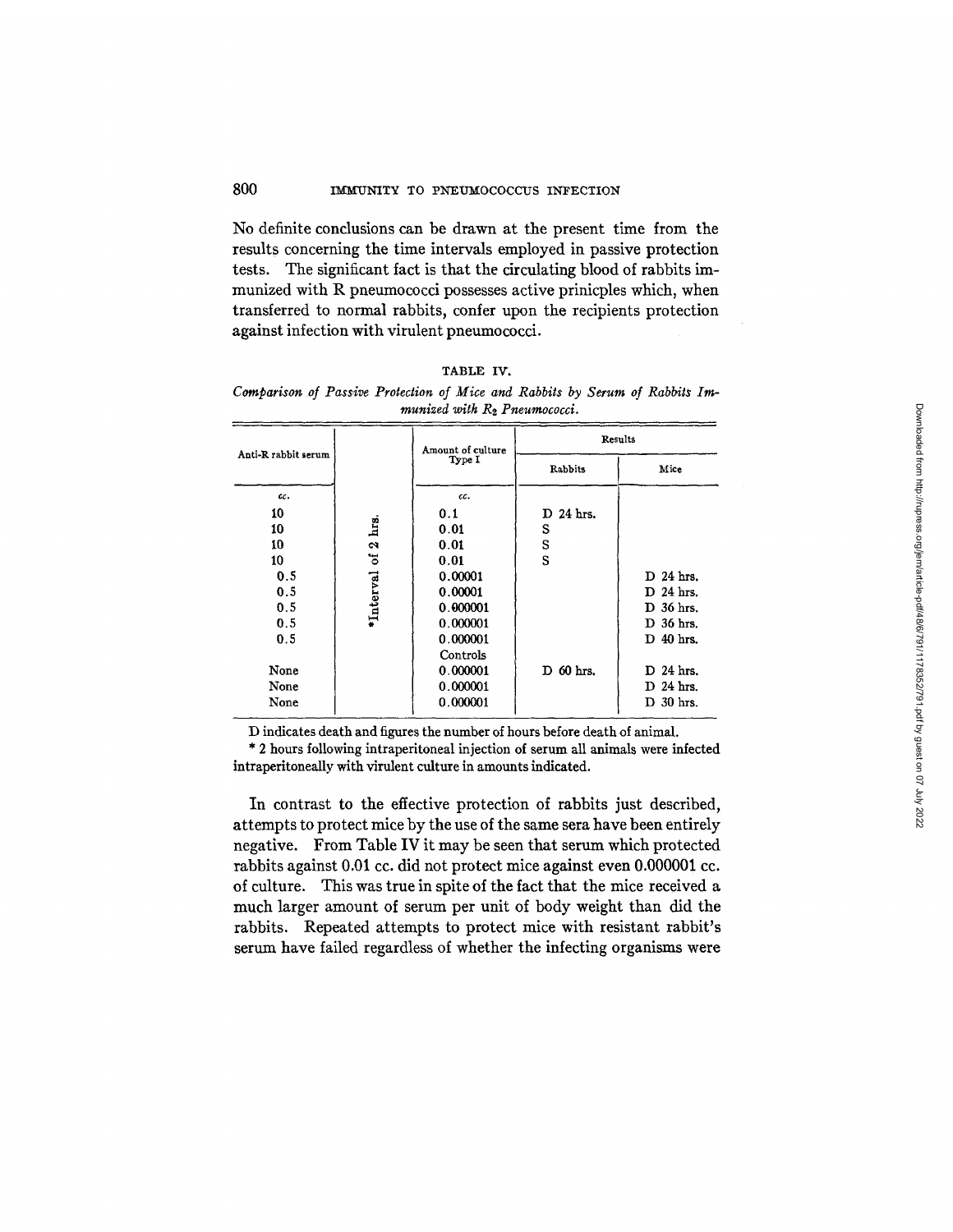No definite conclusions can be drawn at the present time from the results concerning the time intervals employed in passive protection tests. The significant fact is that the circulating blood of rabbits immunized with R pneumococci possesses active prinicples which, when transferred to normal rabbits, confer upon the recipients protection against infection with virulent pneumococci.

| <b>TABLE</b> | IV. |
|--------------|-----|
|--------------|-----|

*Comparison of Passive Protection of Mice and Rabbits by Serum of Rabbits Immunized with R2 Pneumococci.* 

|                     |              | Amount of culture | Results   |             |  |
|---------------------|--------------|-------------------|-----------|-------------|--|
| Anti-R rabbit serum |              | Type I            | Rabbits   | Mice        |  |
| cc.                 |              | cc.               |           |             |  |
| 10                  |              | 0.1               | D 24 hrs. |             |  |
| 10                  | hrs.         | 0.01              | S         |             |  |
| 10                  | $\mathbf{a}$ | 0.01              | S         |             |  |
| 10                  | ð            | 0.01              | S         |             |  |
| 0.5                 |              | 0.00001           |           | $D$ 24 hrs. |  |
| 0.5                 | 'Interval    | 0.00001           |           | D 24 hrs.   |  |
| 0.5                 |              | 0.000001          |           | D 36 hrs.   |  |
| 0.5                 |              | 0.000001          |           | D 36 hrs.   |  |
| 0.5                 |              | 0.000001          |           | D 40 hrs.   |  |
|                     |              | Controls          |           |             |  |
| None                |              | 0.000001          | D 60 hrs. | $D$ 24 hrs. |  |
| None                |              | 0.000001          |           | $D$ 24 hrs. |  |
| None                |              | 0.000001          |           | D 30 hrs.   |  |

D indicates death and figures the number of hours before death of animal.

\* 2 hours following intraperitoneal injection of serum all animals were infected intraperitoneally with virulent culture in amounts indicated.

In contrast to the effective protection of rabbits just described, attempts to protect mice by the use of the same sera have been entirely negative. From Table IV it may be seen that serum which protected rabbits against 0.01 cc. did not protect mice against even 0.000001 cc. of culture. This was true in spite of the fact that the mice received a much larger amount of serum per unit of body weight than did the rabbits. Repeated attempts to protect mice with resistant rabbit's serum have failed regardless of whether the infecting organisms were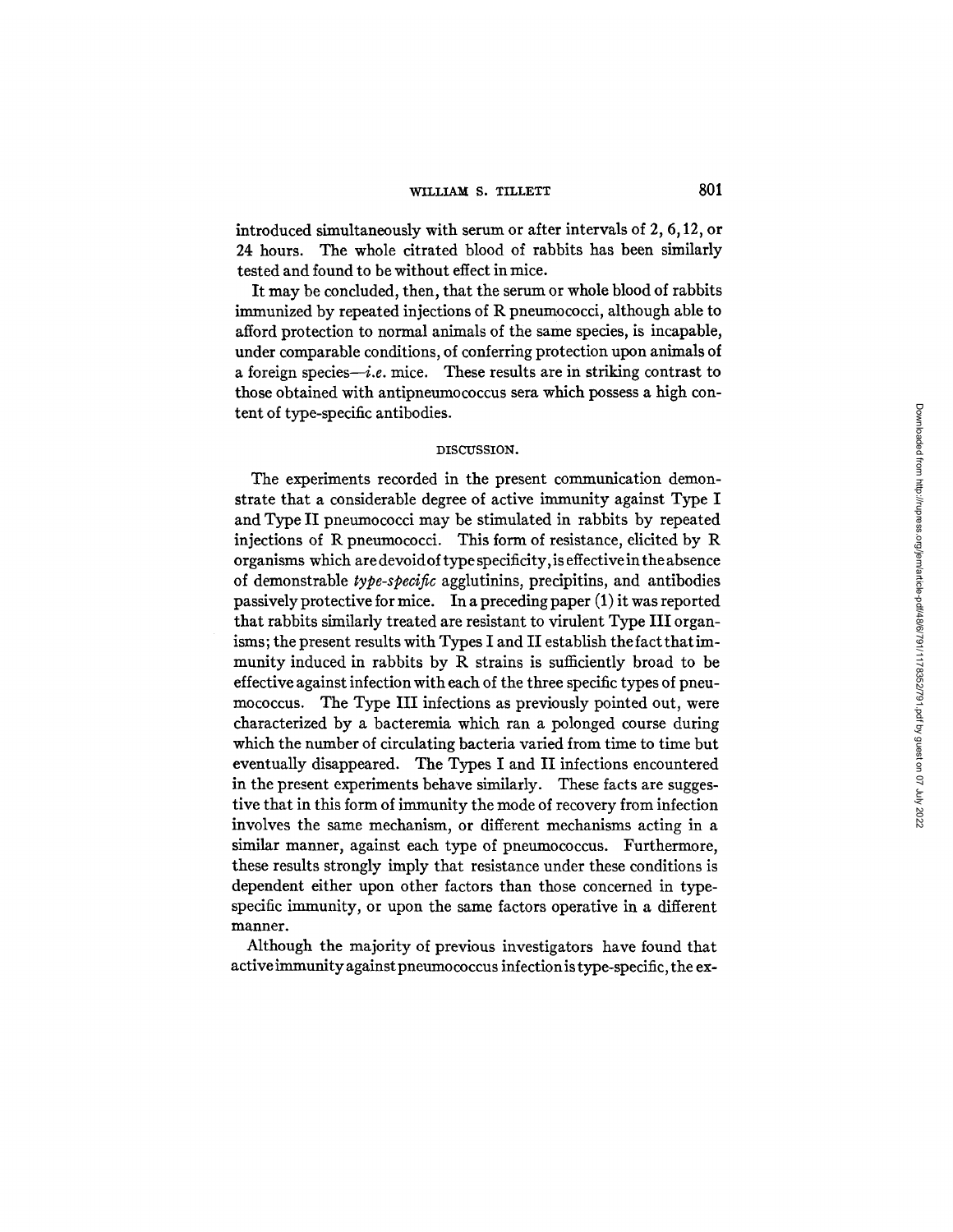## WILLIAM S. TILLETT **801**

introduced simultaneously with serum or after intervals of 2, 6,12, or 24 hours. The whole citrated blood of rabbits has been similarly tested and found to be without effect in mice.

It may be concluded, then, that the serum or whole blood of rabbits immunized by repeated injections of R pneumococci, although able to afford protection to normal animals of the same species, is incapable, under comparable conditions, of conferring protection upon animals of a foreign species-i.e. mice. These results are in striking contrast to those obtained with antipneumococcus sere which possess a high content of type-specific antibodies.

### DISCUSSION.

The experiments recorded in the present communication demonstrate that a considerable degree of active immunity against Type I and Type II pneumococci may be stimulated in rabbits by repeated injections of R pneumococd. This form of resistance, elicited by R organisms which are devoid of type specificity, is effective in the absence of demonstrable *type-specific* agglutinins, precipitins, and antibodies passively protective for mice. In a preceding paper (1) it was reported that rabbits similarly treated are resistant to virulent Type III organisms; the present results with Types I and II establish the fact that immunity induced in rabbits by R strains is sufficiently broad to be effective against infection with each of the three specific types of pneumococcus. The Type III infections as previously pointed out, were characterized by a bacteremia which ran a polonged course during which the number of circulating bacteria varied from time to time but eventually disappeared. The Types I and II infections encountered in the present experiments behave similarly. These facts are suggestive that in this form of immunity the mode of recovery from infection involves the same mechanism, or different mechanisms acting in a similar manner, against each type of pneumococcus. Furthermore, these results strongly imply that resistance under these conditions is dependent either upon other factors than those concerned in typespecific immunity, or upon the same factors operative in a different manner.

Although the majority of previous investigators have found that active immunity against pneumococcus infection is type-specific, the ex-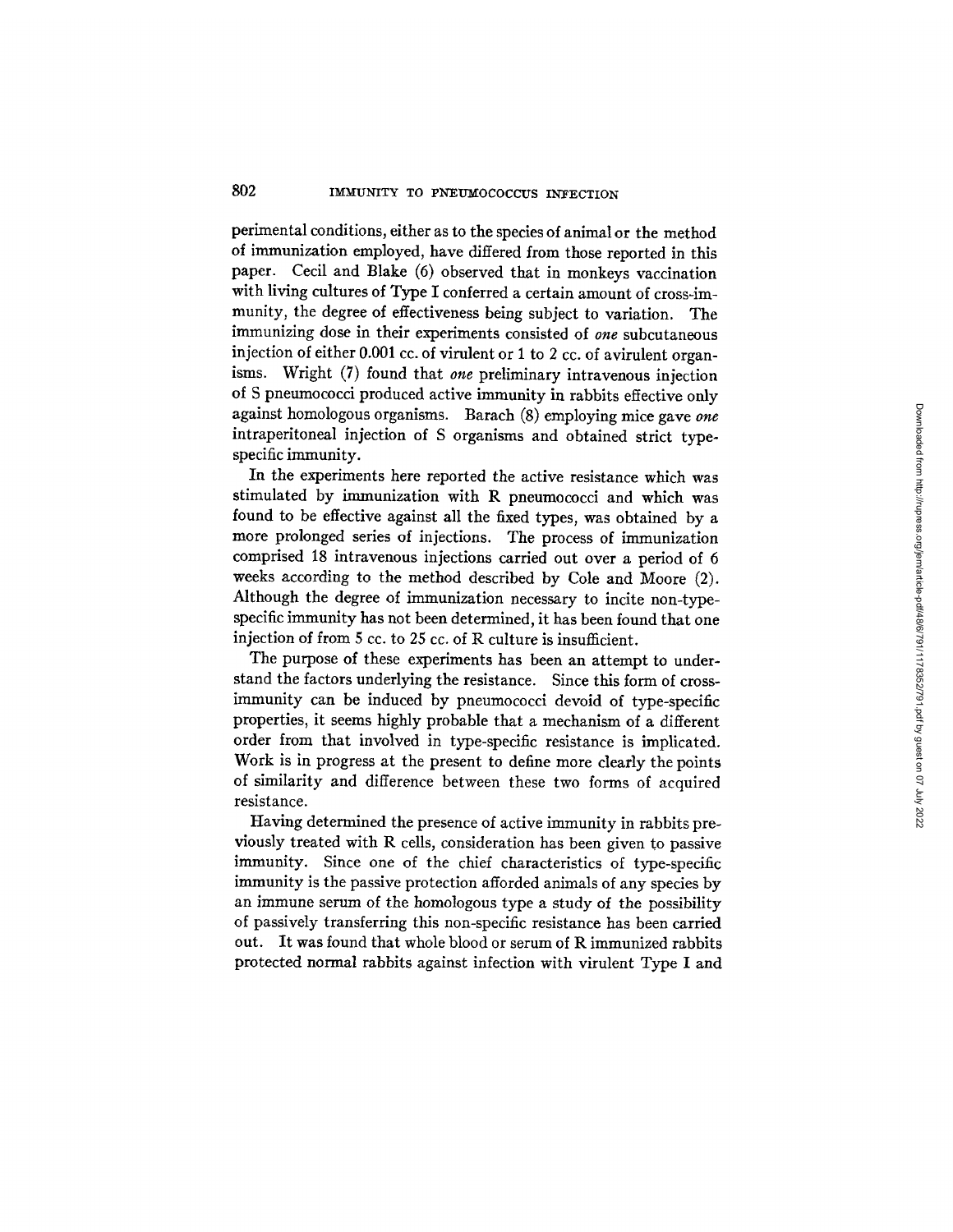perimental conditions, either as to the species of animal or the method of immunization employed, have differed from those reported in this paper. Cecil and Blake (6) observed that in monkeys vaccination with living cultures of Type I conferred a certain amount of cross-immunity, the degree of effectiveness being subject to variation. The immunizing dose in their experiments consisted of *one* subcutaneous injection of either 0.001 cc. of virulent or 1 to 2 cc. of avirulent organisms. Wright (7) found that *one* preliminary intravenous injection of S pneumococci produced active immunity in rabbits effective only against homologous organisms. Barach (8) employing mice gave *one*  intraperitoneal injection of S organisms and obtained strict typespecific immunity.

In the experiments here reported the active resistance which was stimulated by immunization with R pneumococci and which was found to be effective against all the fixed types, was obtained by a more prolonged series of injections. The process of immunization comprised 18 intravenous injections carried out over a period of 6 weeks according to the method described by Cole and Moore (2). Although the degree of immunization necessary to incite non-typespecific immunity has not been determined, it has been found that one injection of from 5 cc. to 25 cc. of R culture is insufficient.

The purpose of these experiments has been an attempt to understand the factors underlying the resistance. Since this form of crossimmunity can be induced by pneumococci devoid of type-specific properties, it seems highly probable that a mechanism of a different order from that involved in type-specific resistance is implicated. Work is in progress at the present to define more dearly the points of similarity and difference between these two forms of acquired resistance.

Having determined the presence of active immunity in rabbits previously treated with R cells, consideration has been given to passive immunity. Since one of the chief characteristics of type-specific immunity is the passive protection afforded animals of any species by an immune serum of the homologous type a study of the possibility of passively transferring this non-specific resistance has been carried out. It was found that whole blood or serum of R immunized rabbits protected normal rabbits against infection with virulent Type I and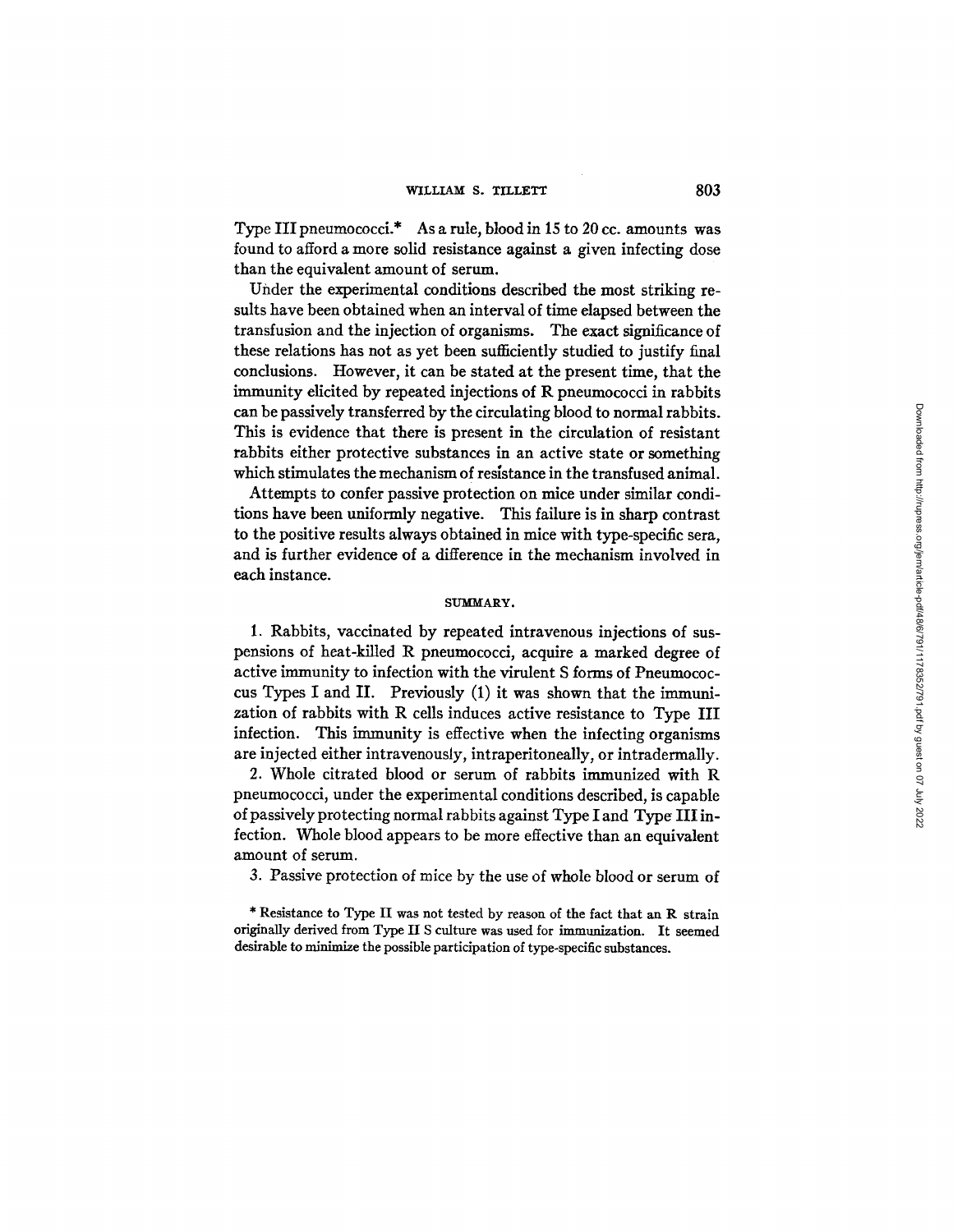Type III pneumococci.\* As a rule, blood in 15 to 20 cc. amounts was found to afford a more solid resistance against a given infecting dose than the equivalent amount of serum.

Under the experimental conditions described the most striking resuits have been obtained when an interval of time elapsed between the transfusion and the injection of organisms. The exact significance of these relations has not as yet been sufficiently studied to justify final conclusions. However, it can be stated at the present time, that the immunity elicited by repeated injections of R pneumococci in rabbits can be passively transferred by the circulating blood to normal rabbits. This is evidence that there is present in the circulation of resistant rabbits either protective substances in an active state or something which stimulates the mechanism of resistance in the transfused animal.

Attempts to confer passive protection on mice under similar conditions have been uniformly negative. This failure is in sharp contrast to the positive results always obtained in mice with type-specific sera, and is further evidence of a difference in the mechanism involved in each instance.

#### SUMMARY.

1. Rabbits, vaccinated by repeated intravenous injections of suspensions of heat-killed R pneumococci, acquire a marked degree of active immunity to infection with the virulent S forms of Pneumococcus Types I and II. Previously (1) it was shown that the immunization of rabbits with R cells induces active resistance to Type III infection. This immunity is effective when the infecting organisms are injected either intravenously, intraperitoneally, or intradermally.

2. Whole citrated blood or serum of rabbits immunized with R pneumococci, under the experimental conditions described, is capable of passively protecting normal rabbits against Type I and Type III infection. Whole blood appears to be more effective than an equivalent amount of serum.

3. Passive protection of mice by the use of whole blood or serum of

\* Resistance to Type II was not tested by reason of the fact that an R strain originally derived from Type II S culture was used for immunization. It seemed desirable to minimize the possible participation of type-specific substances.